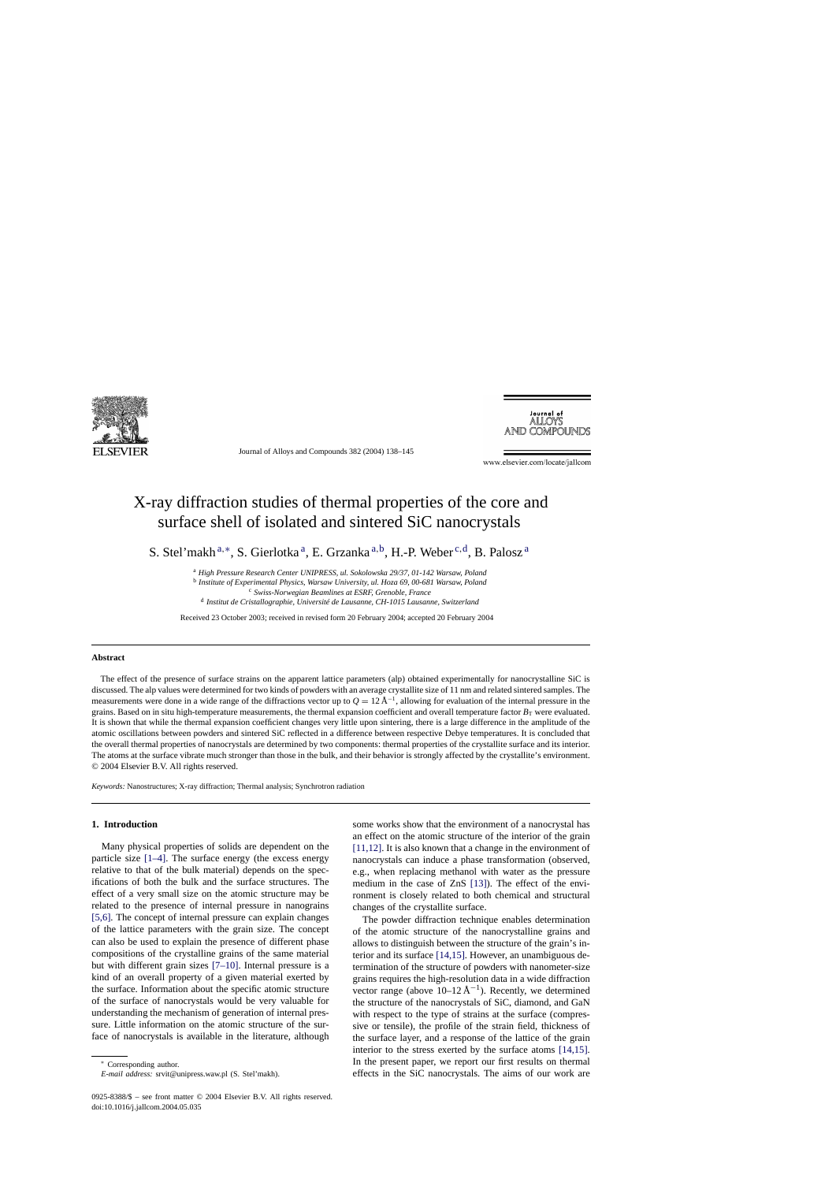

Journal of Alloys and Compounds 382 (2004) 138–145

Journal of<br>ALLOYS **AND COMPOUNDS** 

www.elsevier.com/locate/jallcom

# X-ray diffraction studies of thermal properties of the core and surface shell of isolated and sintered SiC nanocrystals

S. Stel'makh<sup>a,∗</sup>, S. Gierlotka<sup>a</sup>, E. Grzanka<sup>a,b</sup>, H.-P. Weber<sup>c,d</sup>, B. Palosz<sup>a</sup>

<sup>a</sup> *High Pressure Research Center UNIPRESS, ul. Sokolowska 29/37, 01-142 Warsaw, Poland*

<sup>b</sup> *Institute of Experimental Physics, Warsaw University, ul. Hoza 69, 00-681 Warsaw, Poland*

<sup>c</sup> *Swiss-Norwegian Beamlines at ESRF, Grenoble, France*

<sup>d</sup> *Institut de Cristallographie, Université de Lausanne, CH-1015 Lausanne, Switzerland*

Received 23 October 2003; received in revised form 20 February 2004; accepted 20 February 2004

# **Abstract**

The effect of the presence of surface strains on the apparent lattice parameters (alp) obtained experimentally for nanocrystalline SiC is discussed. The alp values were determined for two kinds of powders with an average crystallite size of 11 nm and related sintered samples. The measurements were done in a wide range of the diffractions vector up to  $Q = 12 \text{ Å}^{-1}$ , allowing for evaluation of the internal pressure in the grains. Based on in situ high-temperature measurements, the thermal expansion coefficient and overall temperature factor  $B_T$  were evaluated. It is shown that while the thermal expansion coefficient changes very little upon sintering, there is a large difference in the amplitude of the atomic oscillations between powders and sintered SiC reflected in a difference between respective Debye temperatures. It is concluded that the overall thermal properties of nanocrystals are determined by two components: thermal properties of the crystallite surface and its interior. The atoms at the surface vibrate much stronger than those in the bulk, and their behavior is strongly affected by the crystallite's environment. © 2004 Elsevier B.V. All rights reserved.

*Keywords:* Nanostructures; X-ray diffraction; Thermal analysis; Synchrotron radiation

## **1. Introduction**

Many physical properties of solids are dependent on the particle size [\[1–4\].](#page-7-0) The surface energy (the excess energy relative to that of the bulk material) depends on the specifications of both the bulk and the surface structures. The effect of a very small size on the atomic structure may be related to the presence of internal pressure in nanograins [\[5,6\].](#page-7-0) The concept of internal pressure can explain changes of the lattice parameters with the grain size. The concept can also be used to explain the presence of different phase compositions of the crystalline grains of the same material but with different grain sizes [\[7–10\].](#page-7-0) Internal pressure is a kind of an overall property of a given material exerted by the surface. Information about the specific atomic structure of the surface of nanocrystals would be very valuable for understanding the mechanism of generation of internal pressure. Little information on the atomic structure of the surface of nanocrystals is available in the literature, although

some works show that the environment of a nanocrystal has an effect on the atomic structure of the interior of the grain [\[11,12\].](#page-7-0) It is also known that a change in the environment of nanocrystals can induce a phase transformation (observed, e.g., when replacing methanol with water as the pressure medium in the case of ZnS [\[13\]\).](#page-7-0) The effect of the environment is closely related to both chemical and structural changes of the crystallite surface.

The powder diffraction technique enables determination of the atomic structure of the nanocrystalline grains and allows to distinguish between the structure of the grain's interior and its surface [\[14,15\].](#page-7-0) However, an unambiguous determination of the structure of powders with nanometer-size grains requires the high-resolution data in a wide diffraction vector range (above  $10-12 \text{ Å}^{-1}$ ). Recently, we determined the structure of the nanocrystals of SiC, diamond, and GaN with respect to the type of strains at the surface (compressive or tensile), the profile of the strain field, thickness of the surface layer, and a response of the lattice of the grain interior to the stress exerted by the surface atoms [\[14,15\].](#page-7-0) In the present paper, we report our first results on thermal effects in the SiC nanocrystals. The aims of our work are

<sup>∗</sup> Corresponding author.

*E-mail address:* srvit@unipress.waw.pl (S. Stel'makh).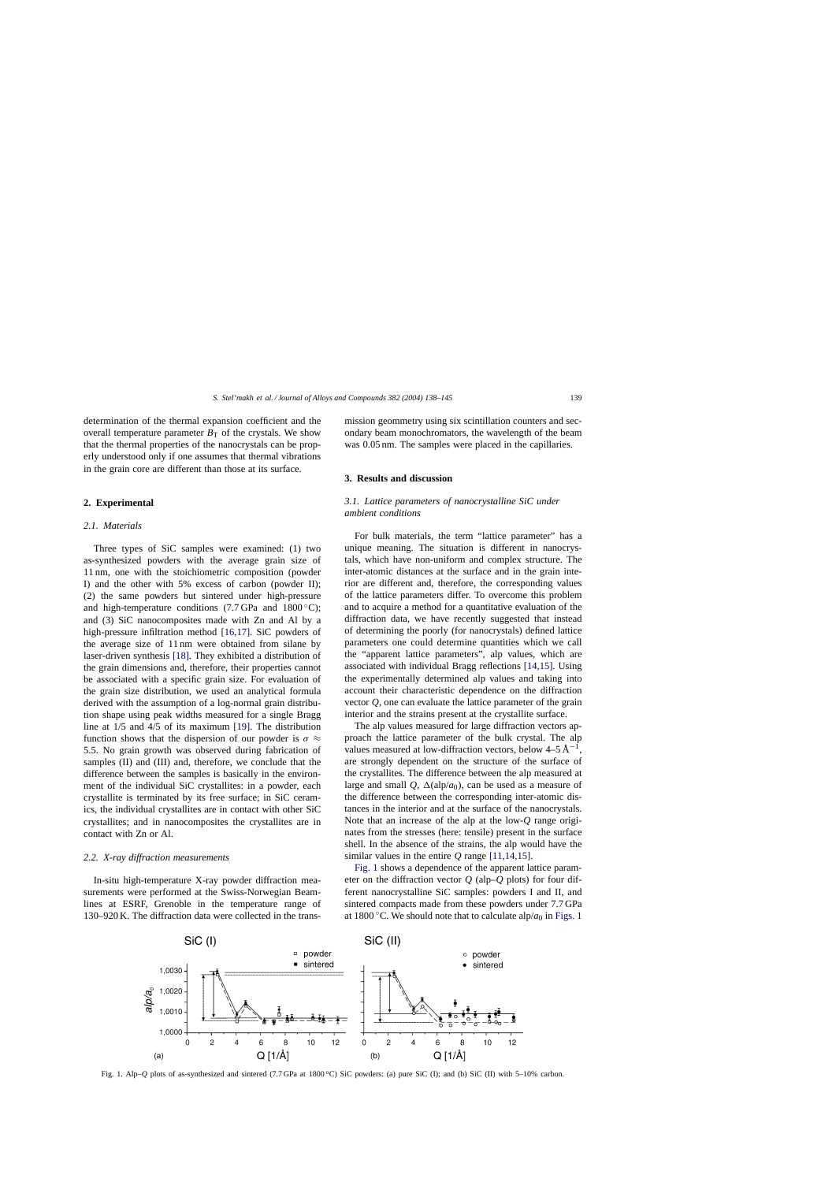# <span id="page-1-0"></span>**2. Experimental**

## *2.1. Materials*

Three types of SiC samples were examined: (1) two as-synthesized powders with the average grain size of 11 nm, one with the stoichiometric composition (powder I) and the other with 5% excess of carbon (powder II); (2) the same powders but sintered under high-pressure and high-temperature conditions (7.7 GPa and  $1800 °C$ ); and (3) SiC nanocomposites made with Zn and Al by a high-pressure infiltration method [\[16,17\].](#page-7-0) SiC powders of the average size of 11 nm were obtained from silane by laser-driven synthesis [\[18\]. T](#page-7-0)hey exhibited a distribution of the grain dimensions and, therefore, their properties cannot be associated with a specific grain size. For evaluation of the grain size distribution, we used an analytical formula derived with the assumption of a log-normal grain distribution shape using peak widths measured for a single Bragg line at 1/5 and 4/5 of its maximum [\[19\].](#page-7-0) The distribution function shows that the dispersion of our powder is  $\sigma \approx$ 5.5. No grain growth was observed during fabrication of samples (II) and (III) and, therefore, we conclude that the difference between the samples is basically in the environment of the individual SiC crystallites: in a powder, each crystallite is terminated by its free surface; in SiC ceramics, the individual crystallites are in contact with other SiC crystallites; and in nanocomposites the crystallites are in contact with Zn or Al.

## *2.2. X-ray diffraction measurements*

In-situ high-temperature X-ray powder diffraction measurements were performed at the Swiss-Norwegian Beamlines at ESRF, Grenoble in the temperature range of 130–920 K. The diffraction data were collected in the transmission geommetry using six scintillation counters and secondary beam monochromators, the wavelength of the beam was  $0.05$  nm. The samples were placed in the capillaries.

## **3. Results and discussion**

# *3.1. Lattice parameters of nanocrystalline SiC under ambient conditions*

For bulk materials, the term "lattice parameter" has a unique meaning. The situation is different in nanocrystals, which have non-uniform and complex structure. The inter-atomic distances at the surface and in the grain interior are different and, therefore, the corresponding values of the lattice parameters differ. To overcome this problem and to acquire a method for a quantitative evaluation of the diffraction data, we have recently suggested that instead of determining the poorly (for nanocrystals) defined lattice parameters one could determine quantities which we call the "apparent lattice parameters", alp values, which are associated with individual Bragg reflections [\[14,15\].](#page-7-0) Using the experimentally determined alp values and taking into account their characteristic dependence on the diffraction vector *Q*, one can evaluate the lattice parameter of the grain interior and the strains present at the crystallite surface.

The alp values measured for large diffraction vectors approach the lattice parameter of the bulk crystal. The alp values measured at low-diffraction vectors, below  $4-5 \text{ Å}^{-1}$ , are strongly dependent on the structure of the surface of the crystallites. The difference between the alp measured at large and small  $Q$ ,  $\Delta$ (alp/*a*<sub>0</sub>), can be used as a measure of the difference between the corresponding inter-atomic distances in the interior and at the surface of the nanocrystals. Note that an increase of the alp at the low-*Q* range originates from the stresses (here: tensile) present in the surface shell. In the absence of the strains, the alp would have the similar values in the entire *Q* range [\[11,14,15\].](#page-7-0)

Fig. 1 shows a dependence of the apparent lattice parameter on the diffraction vector *Q* (alp–*Q* plots) for four different nanocrystalline SiC samples: powders I and II, and sintered compacts made from these powders under 7.7 GPa at 1800 °C. We should note that to calculate alp/ $a_0$  in Figs. 1



Fig. 1. Alp–*Q* plots of as-synthesized and sintered (7.7 GPa at 1800 °C) SiC powders: (a) pure SiC (I); and (b) SiC (II) with 5–10% carbon.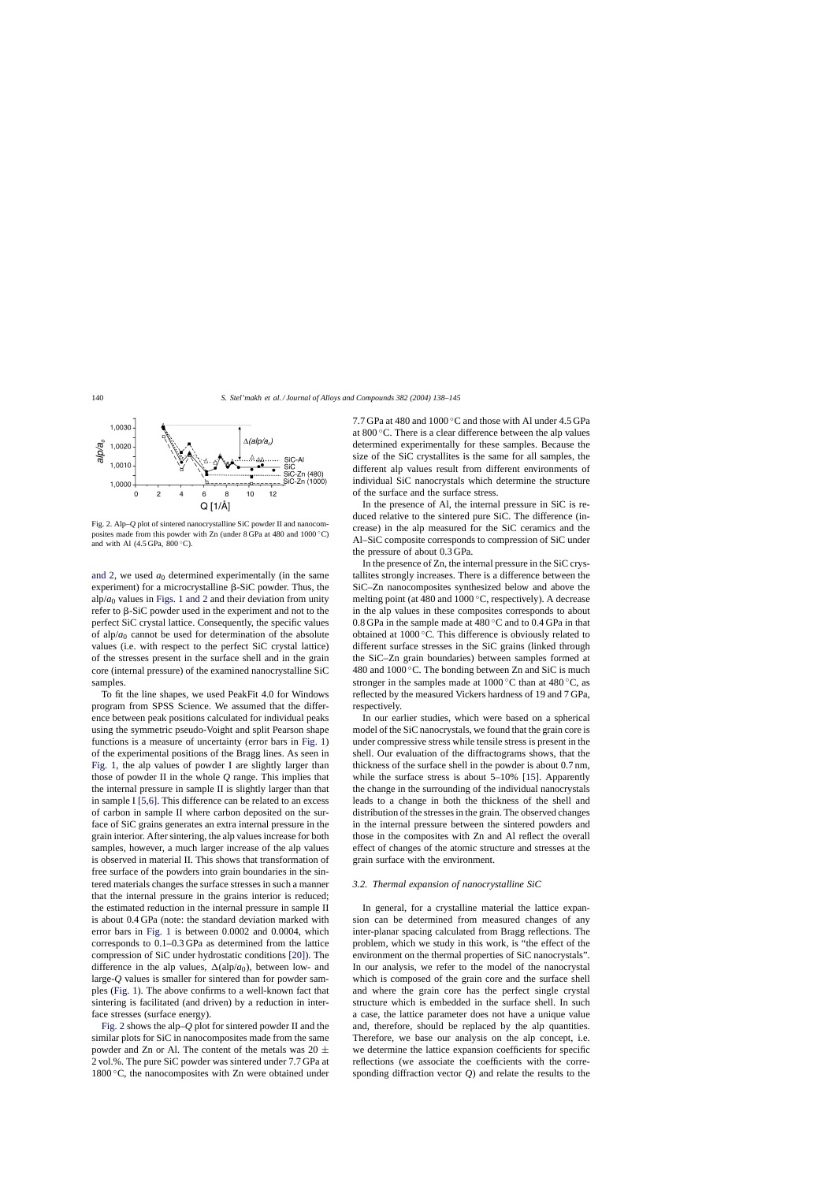<span id="page-2-0"></span>

Fig. 2. Alp–*Q* plot of sintered nanocrystalline SiC powder II and nanocomposites made from this powder with Zn (under 8 GPa at 480 and 1000 ◦C) and with Al  $(4.5 \text{ GPa}, 800 \degree \text{C})$ .

[and 2,](#page-1-0) we used  $a_0$  determined experimentally (in the same experiment) for a microcrystalline  $\beta$ -SiC powder. Thus, the alp/ $a_0$  values in [Figs. 1 and 2](#page-1-0) and their deviation from unity refer to  $\beta$ -SiC powder used in the experiment and not to the perfect SiC crystal lattice. Consequently, the specific values of alp/ $a_0$  cannot be used for determination of the absolute values (i.e. with respect to the perfect SiC crystal lattice) of the stresses present in the surface shell and in the grain core (internal pressure) of the examined nanocrystalline SiC samples.

To fit the line shapes, we used PeakFit 4.0 for Windows program from SPSS Science. We assumed that the difference between peak positions calculated for individual peaks using the symmetric pseudo-Voight and split Pearson shape functions is a measure of uncertainty (error bars in [Fig. 1\)](#page-1-0) of the experimental positions of the Bragg lines. As seen in [Fig. 1,](#page-1-0) the alp values of powder I are slightly larger than those of powder II in the whole *Q* range. This implies that the internal pressure in sample II is slightly larger than that in sample I [\[5,6\].](#page-7-0) This difference can be related to an excess of carbon in sample II where carbon deposited on the surface of SiC grains generates an extra internal pressure in the grain interior. After sintering, the alp values increase for both samples, however, a much larger increase of the alp values is observed in material II. This shows that transformation of free surface of the powders into grain boundaries in the sintered materials changes the surface stresses in such a manner that the internal pressure in the grains interior is reduced; the estimated reduction in the internal pressure in sample II is about 0.4 GPa (note: the standard deviation marked with error bars in [Fig. 1](#page-1-0) is between 0.0002 and 0.0004, which corresponds to 0.1–0.3 GPa as determined from the lattice compression of SiC under hydrostatic conditions [\[20\]\).](#page-7-0) The difference in the alp values,  $\Delta(\text{alp}/a_0)$ , between low- and large-*Q* values is smaller for sintered than for powder samples ([Fig. 1\).](#page-1-0) The above confirms to a well-known fact that sintering is facilitated (and driven) by a reduction in interface stresses (surface energy).

Fig. 2 shows the alp–*Q* plot for sintered powder II and the similar plots for SiC in nanocomposites made from the same powder and Zn or Al. The content of the metals was 20  $\pm$ 2 vol.%. The pure SiC powder was sintered under 7.7 GPa at  $1800\degree C$ , the nanocomposites with Zn were obtained under 7.7 GPa at 480 and 1000 ◦C and those with Al under 4.5 GPa at 800 ◦C. There is a clear difference between the alp values determined experimentally for these samples. Because the size of the SiC crystallites is the same for all samples, the different alp values result from different environments of individual SiC nanocrystals which determine the structure of the surface and the surface stress.

In the presence of Al, the internal pressure in SiC is reduced relative to the sintered pure SiC. The difference (increase) in the alp measured for the SiC ceramics and the Al–SiC composite corresponds to compression of SiC under the pressure of about 0.3 GPa.

In the presence of Zn, the internal pressure in the SiC crystallites strongly increases. There is a difference between the SiC–Zn nanocomposites synthesized below and above the melting point (at 480 and  $1000\,^{\circ}$ C, respectively). A decrease in the alp values in these composites corresponds to about 0.8 GPa in the sample made at 480 ◦C and to 0.4 GPa in that obtained at 1000 ◦C. This difference is obviously related to different surface stresses in the SiC grains (linked through the SiC–Zn grain boundaries) between samples formed at 480 and  $1000\,^{\circ}$ C. The bonding between Zn and SiC is much stronger in the samples made at  $1000\,^{\circ}\text{C}$  than at  $480\,^{\circ}\text{C}$ , as reflected by the measured Vickers hardness of 19 and 7 GPa, respectively.

In our earlier studies, which were based on a spherical model of the SiC nanocrystals, we found that the grain core is under compressive stress while tensile stress is present in the shell. Our evaluation of the diffractograms shows, that the thickness of the surface shell in the powder is about 0.7 nm, while the surface stress is about 5–10% [\[15\].](#page-7-0) Apparently the change in the surrounding of the individual nanocrystals leads to a change in both the thickness of the shell and distribution of the stresses in the grain. The observed changes in the internal pressure between the sintered powders and those in the composites with Zn and Al reflect the overall effect of changes of the atomic structure and stresses at the grain surface with the environment.

#### *3.2. Thermal expansion of nanocrystalline SiC*

In general, for a crystalline material the lattice expansion can be determined from measured changes of any inter-planar spacing calculated from Bragg reflections. The problem, which we study in this work, is "the effect of the environment on the thermal properties of SiC nanocrystals". In our analysis, we refer to the model of the nanocrystal which is composed of the grain core and the surface shell and where the grain core has the perfect single crystal structure which is embedded in the surface shell. In such a case, the lattice parameter does not have a unique value and, therefore, should be replaced by the alp quantities. Therefore, we base our analysis on the alp concept, i.e. we determine the lattice expansion coefficients for specific reflections (we associate the coefficients with the corresponding diffraction vector *Q*) and relate the results to the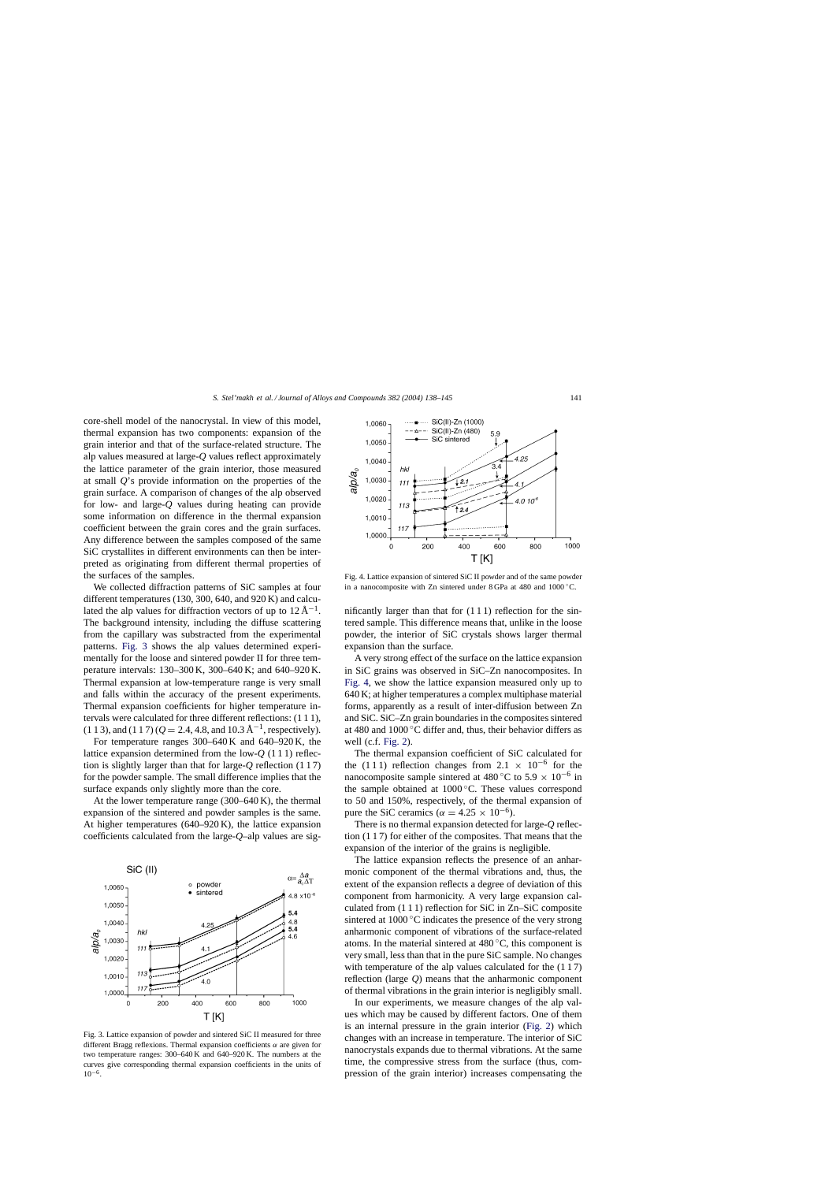core-shell model of the nanocrystal. In view of this model, thermal expansion has two components: expansion of the grain interior and that of the surface-related structure. The alp values measured at large-*Q* values reflect approximately the lattice parameter of the grain interior, those measured at small *Q*'s provide information on the properties of the grain surface. A comparison of changes of the alp observed for low- and large-*Q* values during heating can provide some information on difference in the thermal expansion coefficient between the grain cores and the grain surfaces. Any difference between the samples composed of the same SiC crystallites in different environments can then be interpreted as originating from different thermal properties of the surfaces of the samples.

We collected diffraction patterns of SiC samples at four different temperatures (130, 300, 640, and 920 K) and calculated the alp values for diffraction vectors of up to  $12 \text{ Å}^{-1}$ . The background intensity, including the diffuse scattering from the capillary was substracted from the experimental patterns. Fig. 3 shows the alp values determined experimentally for the loose and sintered powder II for three temperature intervals: 130–300 K, 300–640 K; and 640–920 K. Thermal expansion at low-temperature range is very small and falls within the accuracy of the present experiments. Thermal expansion coefficients for higher temperature intervals were calculated for three different reflections: (1 1 1), (1 1 3), and (1 1 7) ( $Q = 2.4$ , 4.8, and 10.3 Å<sup>-1</sup>, respectively).

For temperature ranges 300–640 K and 640–920 K, the lattice expansion determined from the low-*Q* (1 1 1) reflection is slightly larger than that for large-*Q* reflection (1 1 7) for the powder sample. The small difference implies that the surface expands only slightly more than the core.

At the lower temperature range (300–640 K), the thermal expansion of the sintered and powder samples is the same. At higher temperatures (640–920 K), the lattice expansion coefficients calculated from the large-*Q*–alp values are sig-

o powder

 $4.2$ 

 $4.0$ 

600

800

400

sintered

 $\alpha = \frac{\Delta a}{a_0 \Delta T}$ 

4.8  $\times$  10 $^{-6}$ 

5.4

4.8

5.4

4.6

1000

SiC (II)

hkl

 $1118$ 

 $11:$ 

 $11$ 

200

1,0060

1,0050

1,0040

1,0030

1,0020

1,0010

1,0000

 $\mathbf 0$ 

alp/a $_{o}$ 



3.4 hk  $a/b/a$ 1,0030  $111$ J 2.1 1,0020 4.0 10 $^{\prime}$ 113  $12.4$ 1.0010  $117$ 1,0000 200 400 600 1000  $\Omega$ 800 T [K]

SiC(II)-Zn (1000)

5.9

4.25

SiC(II)-Zn (480)

SiC sintered

Fig. 4. Lattice expansion of sintered SiC II powder and of the same powder in a nanocomposite with Zn sintered under 8 GPa at 480 and 1000 ◦C.

nificantly larger than that for (1 1 1) reflection for the sintered sample. This difference means that, unlike in the loose powder, the interior of SiC crystals shows larger thermal expansion than the surface.

A very strong effect of the surface on the lattice expansion in SiC grains was observed in SiC–Zn nanocomposites. In Fig. 4, we show the lattice expansion measured only up to 640 K; at higher temperatures a complex multiphase material forms, apparently as a result of inter-diffusion between Zn and SiC. SiC–Zn grain boundaries in the composites sintered at 480 and 1000 ◦C differ and, thus, their behavior differs as well (c.f. [Fig. 2\).](#page-2-0)

The thermal expansion coefficient of SiC calculated for the (1 1 1) reflection changes from  $2.1 \times 10^{-6}$  for the nanocomposite sample sintered at 480 °C to 5.9  $\times$  10<sup>-6</sup> in the sample obtained at 1000 ◦C. These values correspond to 50 and 150%, respectively, of the thermal expansion of pure the SiC ceramics ( $\alpha = 4.25 \times 10^{-6}$ ).

There is no thermal expansion detected for large-*Q* reflection (1 1 7) for either of the composites. That means that the expansion of the interior of the grains is negligible.

The lattice expansion reflects the presence of an anharmonic component of the thermal vibrations and, thus, the extent of the expansion reflects a degree of deviation of this component from harmonicity. A very large expansion calculated from (1 1 1) reflection for SiC in Zn–SiC composite sintered at 1000 °C indicates the presence of the very strong anharmonic component of vibrations of the surface-related atoms. In the material sintered at  $480^{\circ}$ C, this component is very small, less than that in the pure SiC sample. No changes with temperature of the alp values calculated for the  $(1 1 7)$ reflection (large *Q*) means that the anharmonic component of thermal vibrations in the grain interior is negligibly small.

In our experiments, we measure changes of the alp values which may be caused by different factors. One of them is an internal pressure in the grain interior [\(Fig. 2\)](#page-2-0) which changes with an increase in temperature. The interior of SiC nanocrystals expands due to thermal vibrations. At the same time, the compressive stress from the surface (thus, compression of the grain interior) increases compensating the

1.0060

1,0050

1,0040

 $\cdots$ 

 $- - \lambda -$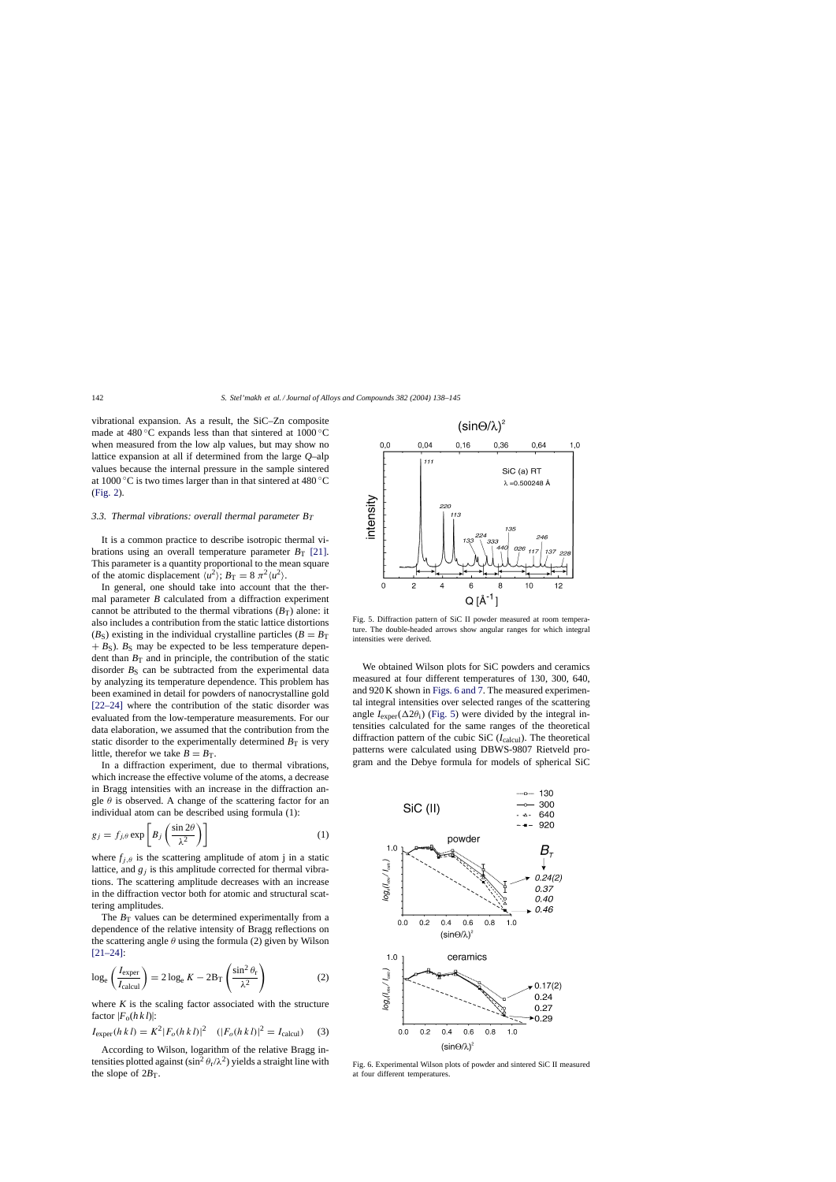<span id="page-4-0"></span>vibrational expansion. As a result, the SiC–Zn composite made at 480 ◦C expands less than that sintered at 1000 ◦C when measured from the low alp values, but may show no lattice expansion at all if determined from the large *Q*–alp values because the internal pressure in the sample sintered at 1000 °C is two times larger than in that sintered at 480 °C ([Fig. 2\).](#page-2-0)

## 3.3. Thermal vibrations: overall thermal parameter  $B_T$

It is a common practice to describe isotropic thermal vibrations using an overall temperature parameter  $B_T$  [\[21\].](#page-7-0) This parameter is a quantity proportional to the mean square of the atomic displacement  $\langle u^2 \rangle$ ;  $B_T = 8 \pi^2 \langle u^2 \rangle$ .

In general, one should take into account that the thermal parameter *B* calculated from a diffraction experiment cannot be attributed to the thermal vibrations  $(B_T)$  alone: it also includes a contribution from the static lattice distortions ( $B_{\rm S}$ ) existing in the individual crystalline particles ( $B = B_{\rm T}$ )  $+ B<sub>S</sub>$ ).  $B<sub>S</sub>$  may be expected to be less temperature dependent than  $B_T$  and in principle, the contribution of the static disorder  $B<sub>S</sub>$  can be subtracted from the experimental data by analyzing its temperature dependence. This problem has been examined in detail for powders of nanocrystalline gold [\[22–24\]](#page-7-0) where the contribution of the static disorder was evaluated from the low-temperature measurements. For our data elaboration, we assumed that the contribution from the static disorder to the experimentally determined  $B_T$  is very little, therefor we take  $B = B_T$ .

In a diffraction experiment, due to thermal vibrations, which increase the effective volume of the atoms, a decrease in Bragg intensities with an increase in the diffraction angle  $\theta$  is observed. A change of the scattering factor for an individual atom can be described using formula (1):

$$
g_j = f_{j,\theta} \exp\left[B_j \left(\frac{\sin 2\theta}{\lambda^2}\right)\right]
$$
 (1)

where  $f_{i,\theta}$  is the scattering amplitude of atom j in a static lattice, and  $g_i$  is this amplitude corrected for thermal vibrations. The scattering amplitude decreases with an increase in the diffraction vector both for atomic and structural scattering amplitudes.

The  $B_T$  values can be determined experimentally from a dependence of the relative intensity of Bragg reflections on the scattering angle  $\theta$  using the formula (2) given by Wilson [\[21–24\]:](#page-7-0)

$$
\log_{e} \left( \frac{I_{\text{exper}}}{I_{\text{calcul}}} \right) = 2 \log_{e} K - 2B_{\text{T}} \left( \frac{\sin^{2} \theta_{\text{r}}}{\lambda^{2}} \right)
$$
 (2)

where  $K$  is the scaling factor associated with the structure factor  $|F_{o}(h k l)|$ :

$$
I_{\text{exper}}(h\,k\,l) = K^2 |F_o(h\,k\,l)|^2 \quad (|F_o(h\,k\,l)|^2 = I_{\text{calcul}}) \tag{3}
$$

According to Wilson, logarithm of the relative Bragg intensities plotted against ( $\sin^2 \theta_r / \lambda^2$ ) yields a straight line with the slope of  $2B_T$ .



Fig. 5. Diffraction pattern of SiC II powder measured at room temperature. The double-headed arrows show angular ranges for which integral intensities were derived.

We obtained Wilson plots for SiC powders and ceramics measured at four different temperatures of 130, 300, 640, and 920 K shown in Figs. 6 and 7. The measured experimental integral intensities over selected ranges of the scattering angle  $I_{\text{exper}}(\Delta 2\theta_i)$  (Fig. 5) were divided by the integral intensities calculated for the same ranges of the theoretical diffraction pattern of the cubic SiC  $(I_{\text{calcul}})$ . The theoretical patterns were calculated using DBWS-9807 Rietveld program and the Debye formula for models of spherical SiC



Fig. 6. Experimental Wilson plots of powder and sintered SiC II measured at four different temperatures.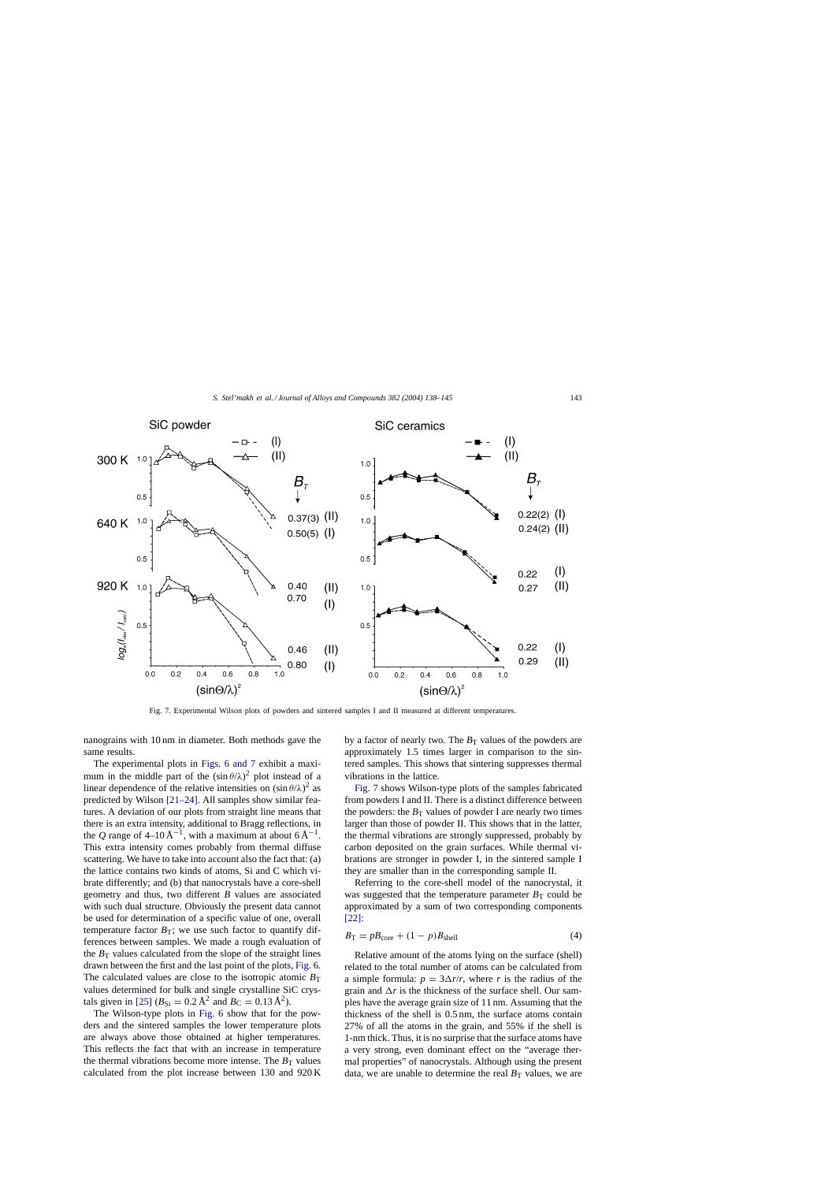

Fig. 7. Experimental Wilson plots of powders and sintered samples I and II measured at different temperatures.

nanograins with 10 nm in diameter. Both methods gave the same results.

The experimental plots in [Figs. 6 and 7](#page-4-0) exhibit a maximum in the middle part of the  $(\sin \theta/\lambda)^2$  plot instead of a linear dependence of the relative intensities on  $(\sin \theta/\lambda)^2$  as predicted by Wilson [\[21–24\].](#page-7-0) All samples show similar features. A deviation of our plots from straight line means that there is an extra intensity, additional to Bragg reflections, in the *Q* range of 4–10 Å<sup>-1</sup>, with a maximum at about  $6\text{\AA}^{-1}$ . This extra intensity comes probably from thermal diffuse scattering. We have to take into account also the fact that: (a) the lattice contains two kinds of atoms, Si and C which vibrate differently; and (b) that nanocrystals have a core-shell geometry and thus, two different *B* values are associated with such dual structure. Obviously the present data cannot be used for determination of a specific value of one, overall temperature factor  $B_T$ ; we use such factor to quantify differences between samples. We made a rough evaluation of the  $B_T$  values calculated from the slope of the straight lines drawn between the first and the last point of the plots, [Fig. 6.](#page-4-0) The calculated values are close to the isotropic atomic  $B_T$ values determined for bulk and single crystalline SiC crys-tals given in [\[25\]](#page-7-0) ( $B_{\text{Si}} = 0.2 \text{ Å}^2$  and  $B_{\text{C}} = 0.13 \text{ Å}^2$ ).

The Wilson-type plots in [Fig. 6](#page-4-0) show that for the powders and the sintered samples the lower temperature plots are always above those obtained at higher temperatures. This reflects the fact that with an increase in temperature the thermal vibrations become more intense. The  $B_T$  values calculated from the plot increase between 130 and 920 K by a factor of nearly two. The  $B<sub>T</sub>$  values of the powders are approximately 1.5 times larger in comparison to the sintered samples. This shows that sintering suppresses thermal vibrations in the lattice.

Fig. 7 shows Wilson-type plots of the samples fabricated from powders I and II. There is a distinct difference between the powders: the  $B_T$  values of powder I are nearly two times larger than those of powder II. This shows that in the latter, the thermal vibrations are strongly suppressed, probably by carbon deposited on the grain surfaces. While thermal vibrations are stronger in powder I, in the sintered sample I they are smaller than in the corresponding sample II.

Referring to the core-shell model of the nanocrystal, it was suggested that the temperature parameter  $B_T$  could be approximated by a sum of two corresponding components [\[22\]:](#page-7-0)

$$
B_{\rm T} = pB_{\rm core} + (1 - p)B_{\rm shell} \tag{4}
$$

Relative amount of the atoms lying on the surface (shell) related to the total number of atoms can be calculated from a simple formula:  $p = 3\Delta r/r$ , where *r* is the radius of the grain and  $\Delta r$  is the thickness of the surface shell. Our samples have the average grain size of 11 nm. Assuming that the thickness of the shell is 0.5 nm, the surface atoms contain 27% of all the atoms in the grain, and 55% if the shell is 1-nm thick. Thus, it is no surprise that the surface atoms have a very strong, even dominant effect on the "average thermal properties" of nanocrystals. Although using the present data, we are unable to determine the real  $B_T$  values, we are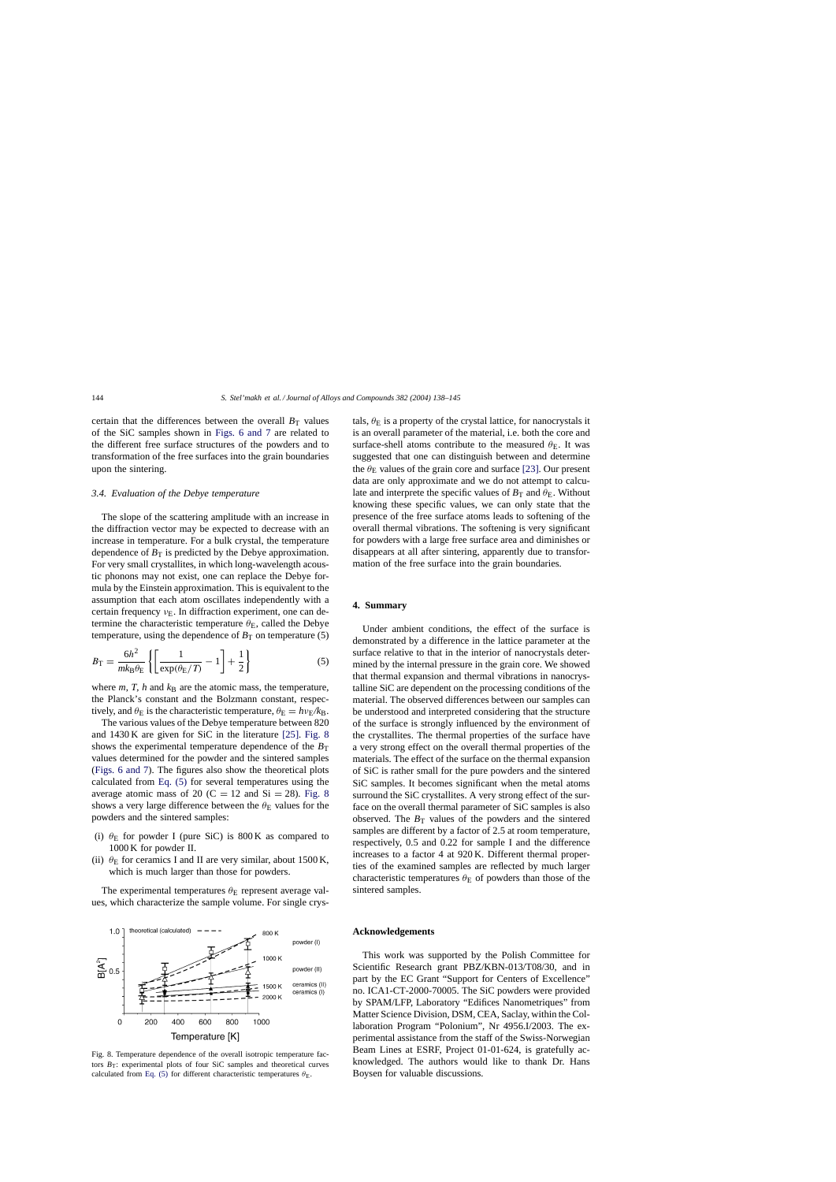certain that the differences between the overall  $B_T$  values of the SiC samples shown in [Figs. 6 and 7](#page-4-0) are related to the different free surface structures of the powders and to transformation of the free surfaces into the grain boundaries upon the sintering.

# *3.4. Evaluation of the Debye temperature*

The slope of the scattering amplitude with an increase in the diffraction vector may be expected to decrease with an increase in temperature. For a bulk crystal, the temperature dependence of  $B_T$  is predicted by the Debye approximation. For very small crystallites, in which long-wavelength acoustic phonons may not exist, one can replace the Debye formula by the Einstein approximation. This is equivalent to the assumption that each atom oscillates independently with a certain frequency  $v_{\rm E}$ . In diffraction experiment, one can determine the characteristic temperature  $\theta_{\rm E}$ , called the Debye temperature, using the dependence of  $B_T$  on temperature (5)

$$
B_{\rm T} = \frac{6h^2}{mk_{\rm B}\theta_{\rm E}} \left\{ \left[ \frac{1}{\exp(\theta_{\rm E}/T)} - 1 \right] + \frac{1}{2} \right\} \tag{5}
$$

where  $m$ ,  $T$ ,  $h$  and  $k$ B are the atomic mass, the temperature, the Planck's constant and the Bolzmann constant, respectively, and  $\theta_E$  is the characteristic temperature,  $\theta_E = h v_E / k_B$ .

The various values of the Debye temperature between 820 and 1430 K are given for SiC in the literature [\[25\].](#page-7-0) Fig. 8 shows the experimental temperature dependence of the  $B_T$ values determined for the powder and the sintered samples ([Figs. 6 and 7\).](#page-4-0) The figures also show the theoretical plots calculated from Eq. (5) for several temperatures using the average atomic mass of 20 (C = 12 and Si = 28). Fig. 8 shows a very large difference between the  $\theta_{\rm E}$  values for the powders and the sintered samples:

- (i)  $\theta$ <sub>E</sub> for powder I (pure SiC) is 800 K as compared to 1000 K for powder II.
- (ii)  $\theta$ <sub>E</sub> for ceramics I and II are very similar, about 1500 K, which is much larger than those for powders.

The experimental temperatures  $\theta_{\rm E}$  represent average values, which characterize the sample volume. For single crys-



Fig. 8. Temperature dependence of the overall isotropic temperature factors  $B_T$ : experimental plots of four SiC samples and theoretical curves calculated from Eq. (5) for different characteristic temperatures  $\theta_{\text{E}}$ .

tals,  $\theta_{\rm E}$  is a property of the crystal lattice, for nanocrystals it is an overall parameter of the material, i.e. both the core and surface-shell atoms contribute to the measured  $\theta_{\rm E}$ . It was suggested that one can distinguish between and determine the  $\theta_{\rm E}$  values of the grain core and surface [\[23\]. O](#page-7-0)ur present data are only approximate and we do not attempt to calculate and interprete the specific values of  $B_T$  and  $\theta_E$ . Without knowing these specific values, we can only state that the presence of the free surface atoms leads to softening of the overall thermal vibrations. The softening is very significant for powders with a large free surface area and diminishes or disappears at all after sintering, apparently due to transformation of the free surface into the grain boundaries.

## **4. Summary**

Under ambient conditions, the effect of the surface is demonstrated by a difference in the lattice parameter at the surface relative to that in the interior of nanocrystals determined by the internal pressure in the grain core. We showed that thermal expansion and thermal vibrations in nanocrystalline SiC are dependent on the processing conditions of the material. The observed differences between our samples can be understood and interpreted considering that the structure of the surface is strongly influenced by the environment of the crystallites. The thermal properties of the surface have a very strong effect on the overall thermal properties of the materials. The effect of the surface on the thermal expansion of SiC is rather small for the pure powders and the sintered SiC samples. It becomes significant when the metal atoms surround the SiC crystallites. A very strong effect of the surface on the overall thermal parameter of SiC samples is also observed. The  $B_T$  values of the powders and the sintered samples are different by a factor of 2.5 at room temperature, respectively, 0.5 and 0.22 for sample I and the difference increases to a factor 4 at 920 K. Different thermal properties of the examined samples are reflected by much larger characteristic temperatures  $\theta_{\rm E}$  of powders than those of the sintered samples.

# **Acknowledgements**

This work was supported by the Polish Committee for Scientific Research grant PBZ/KBN-013/T08/30, and in part by the EC Grant "Support for Centers of Excellence" no. ICA1-CT-2000-70005. The SiC powders were provided by SPAM/LFP, Laboratory "Edifices Nanometriques" from Matter Science Division, DSM, CEA, Saclay, within the Collaboration Program "Polonium", Nr 4956.I/2003. The experimental assistance from the staff of the Swiss-Norwegian Beam Lines at ESRF, Project 01-01-624, is gratefully acknowledged. The authors would like to thank Dr. Hans Boysen for valuable discussions.